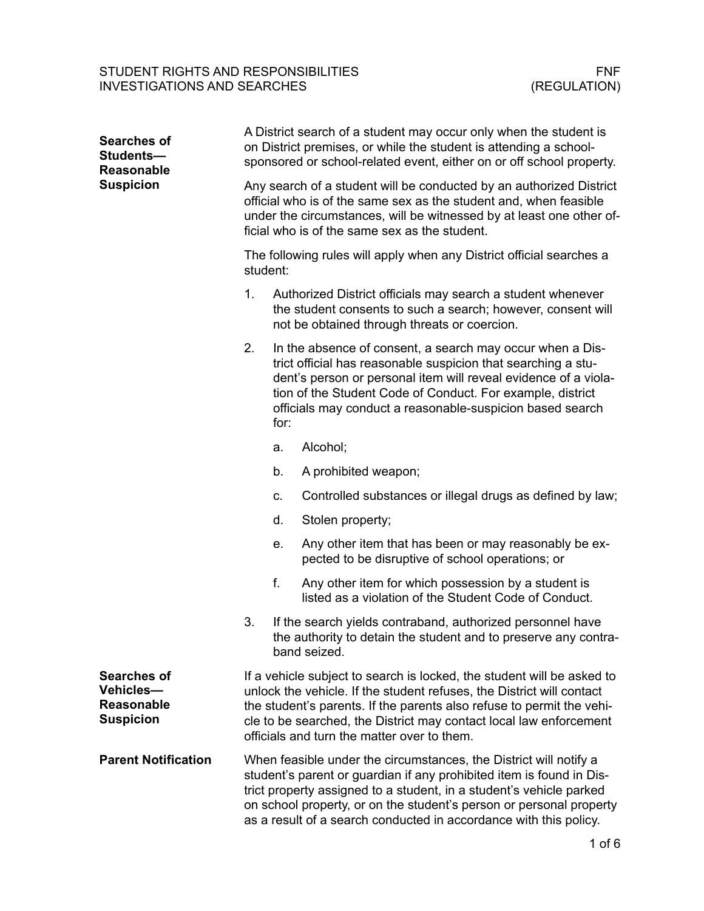| <b>Searches of</b><br>Students-<br><b>Reasonable</b><br><b>Suspicion</b> | A District search of a student may occur only when the student is<br>on District premises, or while the student is attending a school-<br>sponsored or school-related event, either on or off school property.                                                    |                                                                                                                                                                                                                                                                                                                                  |                                                                                                                                                                                                                                                                                                                                                                     |  |  |
|--------------------------------------------------------------------------|-------------------------------------------------------------------------------------------------------------------------------------------------------------------------------------------------------------------------------------------------------------------|----------------------------------------------------------------------------------------------------------------------------------------------------------------------------------------------------------------------------------------------------------------------------------------------------------------------------------|---------------------------------------------------------------------------------------------------------------------------------------------------------------------------------------------------------------------------------------------------------------------------------------------------------------------------------------------------------------------|--|--|
|                                                                          | Any search of a student will be conducted by an authorized District<br>official who is of the same sex as the student and, when feasible<br>under the circumstances, will be witnessed by at least one other of-<br>ficial who is of the same sex as the student. |                                                                                                                                                                                                                                                                                                                                  |                                                                                                                                                                                                                                                                                                                                                                     |  |  |
|                                                                          | The following rules will apply when any District official searches a<br>student:                                                                                                                                                                                  |                                                                                                                                                                                                                                                                                                                                  |                                                                                                                                                                                                                                                                                                                                                                     |  |  |
|                                                                          | 1.                                                                                                                                                                                                                                                                |                                                                                                                                                                                                                                                                                                                                  | Authorized District officials may search a student whenever<br>the student consents to such a search; however, consent will<br>not be obtained through threats or coercion.                                                                                                                                                                                         |  |  |
|                                                                          | 2.                                                                                                                                                                                                                                                                | In the absence of consent, a search may occur when a Dis-<br>trict official has reasonable suspicion that searching a stu-<br>dent's person or personal item will reveal evidence of a viola-<br>tion of the Student Code of Conduct. For example, district<br>officials may conduct a reasonable-suspicion based search<br>for: |                                                                                                                                                                                                                                                                                                                                                                     |  |  |
|                                                                          |                                                                                                                                                                                                                                                                   | a.                                                                                                                                                                                                                                                                                                                               | Alcohol;                                                                                                                                                                                                                                                                                                                                                            |  |  |
|                                                                          |                                                                                                                                                                                                                                                                   | b.                                                                                                                                                                                                                                                                                                                               | A prohibited weapon;                                                                                                                                                                                                                                                                                                                                                |  |  |
|                                                                          |                                                                                                                                                                                                                                                                   | C.                                                                                                                                                                                                                                                                                                                               | Controlled substances or illegal drugs as defined by law;                                                                                                                                                                                                                                                                                                           |  |  |
|                                                                          |                                                                                                                                                                                                                                                                   | d.                                                                                                                                                                                                                                                                                                                               | Stolen property;                                                                                                                                                                                                                                                                                                                                                    |  |  |
|                                                                          |                                                                                                                                                                                                                                                                   | е.                                                                                                                                                                                                                                                                                                                               | Any other item that has been or may reasonably be ex-<br>pected to be disruptive of school operations; or                                                                                                                                                                                                                                                           |  |  |
|                                                                          |                                                                                                                                                                                                                                                                   | f.                                                                                                                                                                                                                                                                                                                               | Any other item for which possession by a student is<br>listed as a violation of the Student Code of Conduct.                                                                                                                                                                                                                                                        |  |  |
|                                                                          | 3.                                                                                                                                                                                                                                                                |                                                                                                                                                                                                                                                                                                                                  | If the search yields contraband, authorized personnel have<br>the authority to detain the student and to preserve any contra-<br>band seized.                                                                                                                                                                                                                       |  |  |
| <b>Searches of</b><br>Vehicles-<br><b>Reasonable</b><br><b>Suspicion</b> |                                                                                                                                                                                                                                                                   |                                                                                                                                                                                                                                                                                                                                  | If a vehicle subject to search is locked, the student will be asked to<br>unlock the vehicle. If the student refuses, the District will contact<br>the student's parents. If the parents also refuse to permit the vehi-<br>cle to be searched, the District may contact local law enforcement<br>officials and turn the matter over to them.                       |  |  |
| <b>Parent Notification</b>                                               |                                                                                                                                                                                                                                                                   |                                                                                                                                                                                                                                                                                                                                  | When feasible under the circumstances, the District will notify a<br>student's parent or guardian if any prohibited item is found in Dis-<br>trict property assigned to a student, in a student's vehicle parked<br>on school property, or on the student's person or personal property<br>as a result of a search conducted in accordance with this policy.<br>c o |  |  |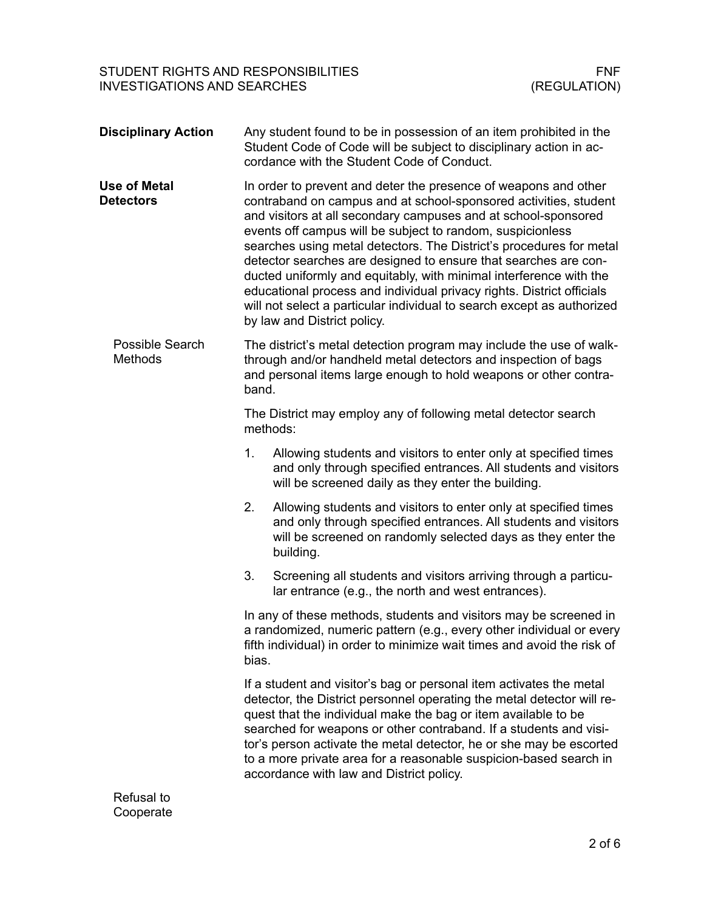| <b>Disciplinary Action</b>              |                                                                                                                                                                                                                                                                                                                                                                                                                                                                              | Any student found to be in possession of an item prohibited in the<br>Student Code of Code will be subject to disciplinary action in ac-<br>cordance with the Student Code of Conduct.                                                                                                                                                                                                                                                                                                                                                                                                                                                                                |  |
|-----------------------------------------|------------------------------------------------------------------------------------------------------------------------------------------------------------------------------------------------------------------------------------------------------------------------------------------------------------------------------------------------------------------------------------------------------------------------------------------------------------------------------|-----------------------------------------------------------------------------------------------------------------------------------------------------------------------------------------------------------------------------------------------------------------------------------------------------------------------------------------------------------------------------------------------------------------------------------------------------------------------------------------------------------------------------------------------------------------------------------------------------------------------------------------------------------------------|--|
| <b>Use of Metal</b><br><b>Detectors</b> |                                                                                                                                                                                                                                                                                                                                                                                                                                                                              | In order to prevent and deter the presence of weapons and other<br>contraband on campus and at school-sponsored activities, student<br>and visitors at all secondary campuses and at school-sponsored<br>events off campus will be subject to random, suspicionless<br>searches using metal detectors. The District's procedures for metal<br>detector searches are designed to ensure that searches are con-<br>ducted uniformly and equitably, with minimal interference with the<br>educational process and individual privacy rights. District officials<br>will not select a particular individual to search except as authorized<br>by law and District policy. |  |
| Possible Search<br><b>Methods</b>       | The district's metal detection program may include the use of walk-<br>through and/or handheld metal detectors and inspection of bags<br>and personal items large enough to hold weapons or other contra-<br>band.                                                                                                                                                                                                                                                           |                                                                                                                                                                                                                                                                                                                                                                                                                                                                                                                                                                                                                                                                       |  |
|                                         |                                                                                                                                                                                                                                                                                                                                                                                                                                                                              | The District may employ any of following metal detector search<br>methods:                                                                                                                                                                                                                                                                                                                                                                                                                                                                                                                                                                                            |  |
|                                         | 1.                                                                                                                                                                                                                                                                                                                                                                                                                                                                           | Allowing students and visitors to enter only at specified times<br>and only through specified entrances. All students and visitors<br>will be screened daily as they enter the building.                                                                                                                                                                                                                                                                                                                                                                                                                                                                              |  |
|                                         | 2.                                                                                                                                                                                                                                                                                                                                                                                                                                                                           | Allowing students and visitors to enter only at specified times<br>and only through specified entrances. All students and visitors<br>will be screened on randomly selected days as they enter the<br>building.                                                                                                                                                                                                                                                                                                                                                                                                                                                       |  |
|                                         | 3.                                                                                                                                                                                                                                                                                                                                                                                                                                                                           | Screening all students and visitors arriving through a particu-<br>lar entrance (e.g., the north and west entrances).                                                                                                                                                                                                                                                                                                                                                                                                                                                                                                                                                 |  |
|                                         | bias.                                                                                                                                                                                                                                                                                                                                                                                                                                                                        | In any of these methods, students and visitors may be screened in<br>a randomized, numeric pattern (e.g., every other individual or every<br>fifth individual) in order to minimize wait times and avoid the risk of                                                                                                                                                                                                                                                                                                                                                                                                                                                  |  |
|                                         | If a student and visitor's bag or personal item activates the metal<br>detector, the District personnel operating the metal detector will re-<br>quest that the individual make the bag or item available to be<br>searched for weapons or other contraband. If a students and visi-<br>tor's person activate the metal detector, he or she may be escorted<br>to a more private area for a reasonable suspicion-based search in<br>accordance with law and District policy. |                                                                                                                                                                                                                                                                                                                                                                                                                                                                                                                                                                                                                                                                       |  |
| Refusal to                              |                                                                                                                                                                                                                                                                                                                                                                                                                                                                              |                                                                                                                                                                                                                                                                                                                                                                                                                                                                                                                                                                                                                                                                       |  |

## Cooperate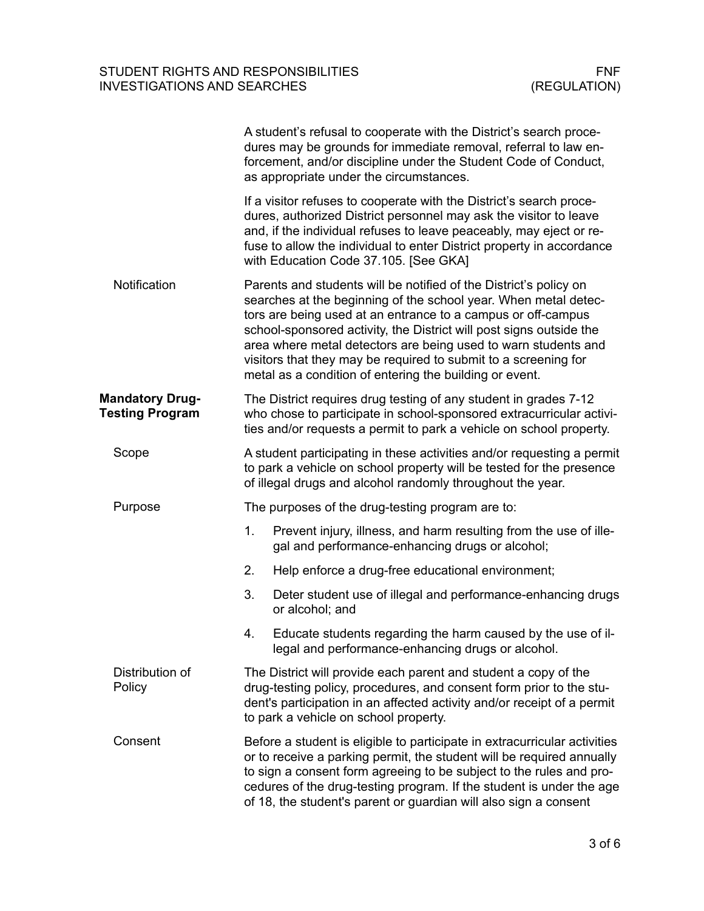| A student's refusal to cooperate with the District's search proce-<br>dures may be grounds for immediate removal, referral to law en-<br>forcement, and/or discipline under the Student Code of Conduct,<br>as appropriate under the circumstances.                                                                                                                                                                                                                         |  |  |
|-----------------------------------------------------------------------------------------------------------------------------------------------------------------------------------------------------------------------------------------------------------------------------------------------------------------------------------------------------------------------------------------------------------------------------------------------------------------------------|--|--|
| If a visitor refuses to cooperate with the District's search proce-<br>dures, authorized District personnel may ask the visitor to leave<br>and, if the individual refuses to leave peaceably, may eject or re-<br>fuse to allow the individual to enter District property in accordance<br>with Education Code 37.105. [See GKA]                                                                                                                                           |  |  |
| Parents and students will be notified of the District's policy on<br>searches at the beginning of the school year. When metal detec-<br>tors are being used at an entrance to a campus or off-campus<br>school-sponsored activity, the District will post signs outside the<br>area where metal detectors are being used to warn students and<br>visitors that they may be required to submit to a screening for<br>metal as a condition of entering the building or event. |  |  |
| The District requires drug testing of any student in grades 7-12<br>who chose to participate in school-sponsored extracurricular activi-<br>ties and/or requests a permit to park a vehicle on school property.                                                                                                                                                                                                                                                             |  |  |
| A student participating in these activities and/or requesting a permit<br>to park a vehicle on school property will be tested for the presence<br>of illegal drugs and alcohol randomly throughout the year.                                                                                                                                                                                                                                                                |  |  |
| The purposes of the drug-testing program are to:                                                                                                                                                                                                                                                                                                                                                                                                                            |  |  |
| 1.<br>Prevent injury, illness, and harm resulting from the use of ille-<br>gal and performance-enhancing drugs or alcohol;                                                                                                                                                                                                                                                                                                                                                  |  |  |
| 2.<br>Help enforce a drug-free educational environment;                                                                                                                                                                                                                                                                                                                                                                                                                     |  |  |
| 3.<br>Deter student use of illegal and performance-enhancing drugs<br>or alcohol; and                                                                                                                                                                                                                                                                                                                                                                                       |  |  |
| Educate students regarding the harm caused by the use of il-<br>4.<br>legal and performance-enhancing drugs or alcohol.                                                                                                                                                                                                                                                                                                                                                     |  |  |
| The District will provide each parent and student a copy of the<br>drug-testing policy, procedures, and consent form prior to the stu-<br>dent's participation in an affected activity and/or receipt of a permit<br>to park a vehicle on school property.                                                                                                                                                                                                                  |  |  |
| Before a student is eligible to participate in extracurricular activities<br>or to receive a parking permit, the student will be required annually<br>to sign a consent form agreeing to be subject to the rules and pro-<br>cedures of the drug-testing program. If the student is under the age<br>of 18, the student's parent or guardian will also sign a consent                                                                                                       |  |  |
|                                                                                                                                                                                                                                                                                                                                                                                                                                                                             |  |  |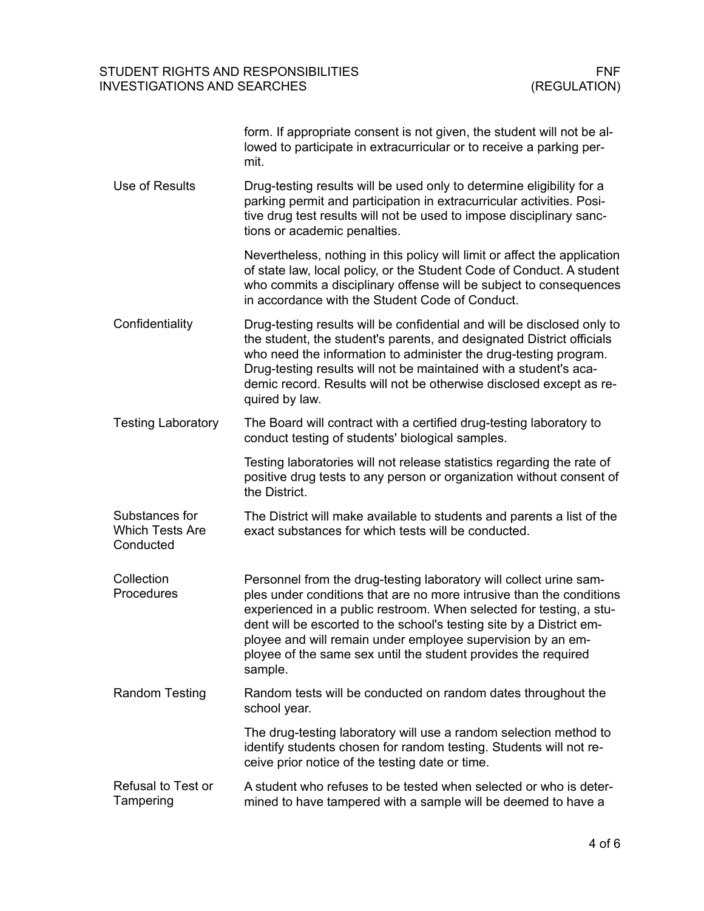|                                                       | form. If appropriate consent is not given, the student will not be al-<br>lowed to participate in extracurricular or to receive a parking per-<br>mit.                                                                                                                                                                                                                                                                                |
|-------------------------------------------------------|---------------------------------------------------------------------------------------------------------------------------------------------------------------------------------------------------------------------------------------------------------------------------------------------------------------------------------------------------------------------------------------------------------------------------------------|
| Use of Results                                        | Drug-testing results will be used only to determine eligibility for a<br>parking permit and participation in extracurricular activities. Posi-<br>tive drug test results will not be used to impose disciplinary sanc-<br>tions or academic penalties.                                                                                                                                                                                |
|                                                       | Nevertheless, nothing in this policy will limit or affect the application<br>of state law, local policy, or the Student Code of Conduct. A student<br>who commits a disciplinary offense will be subject to consequences<br>in accordance with the Student Code of Conduct.                                                                                                                                                           |
| Confidentiality                                       | Drug-testing results will be confidential and will be disclosed only to<br>the student, the student's parents, and designated District officials<br>who need the information to administer the drug-testing program.<br>Drug-testing results will not be maintained with a student's aca-<br>demic record. Results will not be otherwise disclosed except as re-<br>quired by law.                                                    |
| <b>Testing Laboratory</b>                             | The Board will contract with a certified drug-testing laboratory to<br>conduct testing of students' biological samples.                                                                                                                                                                                                                                                                                                               |
|                                                       | Testing laboratories will not release statistics regarding the rate of<br>positive drug tests to any person or organization without consent of<br>the District.                                                                                                                                                                                                                                                                       |
| Substances for<br><b>Which Tests Are</b><br>Conducted | The District will make available to students and parents a list of the<br>exact substances for which tests will be conducted.                                                                                                                                                                                                                                                                                                         |
| Collection<br>Procedures                              | Personnel from the drug-testing laboratory will collect urine sam-<br>ples under conditions that are no more intrusive than the conditions<br>experienced in a public restroom. When selected for testing, a stu-<br>dent will be escorted to the school's testing site by a District em-<br>ployee and will remain under employee supervision by an em-<br>ployee of the same sex until the student provides the required<br>sample. |
| <b>Random Testing</b>                                 | Random tests will be conducted on random dates throughout the<br>school year.                                                                                                                                                                                                                                                                                                                                                         |
|                                                       | The drug-testing laboratory will use a random selection method to<br>identify students chosen for random testing. Students will not re-<br>ceive prior notice of the testing date or time.                                                                                                                                                                                                                                            |
| <b>Refusal to Test or</b><br>Tampering                | A student who refuses to be tested when selected or who is deter-<br>mined to have tampered with a sample will be deemed to have a                                                                                                                                                                                                                                                                                                    |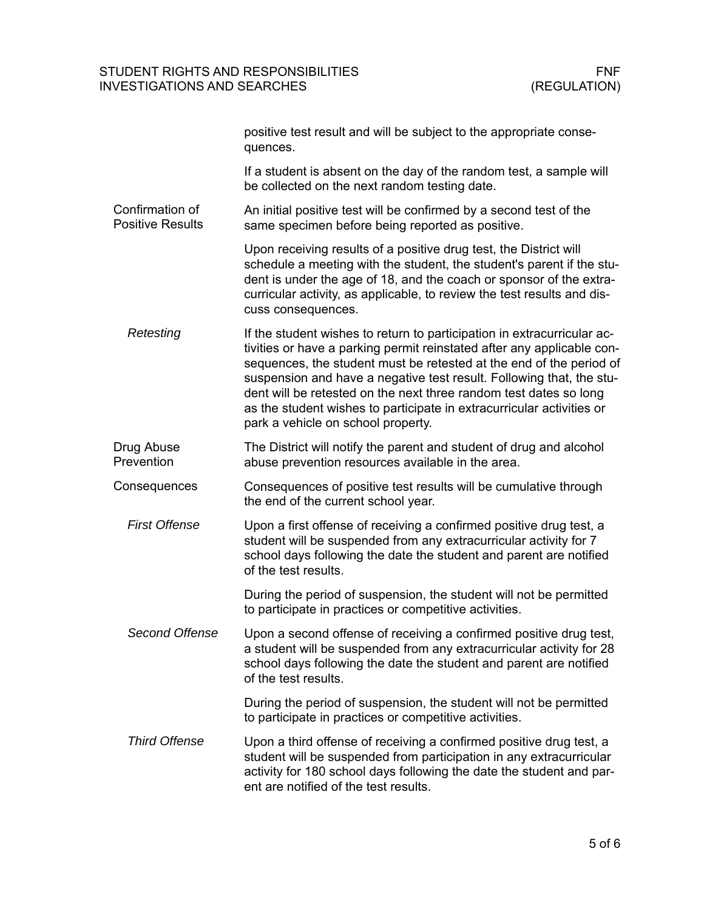|                                            | positive test result and will be subject to the appropriate conse-<br>quences.                                                                                                                                                                                                                                                                                                                                                                                                       |
|--------------------------------------------|--------------------------------------------------------------------------------------------------------------------------------------------------------------------------------------------------------------------------------------------------------------------------------------------------------------------------------------------------------------------------------------------------------------------------------------------------------------------------------------|
|                                            | If a student is absent on the day of the random test, a sample will<br>be collected on the next random testing date.                                                                                                                                                                                                                                                                                                                                                                 |
| Confirmation of<br><b>Positive Results</b> | An initial positive test will be confirmed by a second test of the<br>same specimen before being reported as positive.                                                                                                                                                                                                                                                                                                                                                               |
|                                            | Upon receiving results of a positive drug test, the District will<br>schedule a meeting with the student, the student's parent if the stu-<br>dent is under the age of 18, and the coach or sponsor of the extra-<br>curricular activity, as applicable, to review the test results and dis-<br>cuss consequences.                                                                                                                                                                   |
| Retesting                                  | If the student wishes to return to participation in extracurricular ac-<br>tivities or have a parking permit reinstated after any applicable con-<br>sequences, the student must be retested at the end of the period of<br>suspension and have a negative test result. Following that, the stu-<br>dent will be retested on the next three random test dates so long<br>as the student wishes to participate in extracurricular activities or<br>park a vehicle on school property. |
| Drug Abuse<br>Prevention                   | The District will notify the parent and student of drug and alcohol<br>abuse prevention resources available in the area.                                                                                                                                                                                                                                                                                                                                                             |
| Consequences                               | Consequences of positive test results will be cumulative through<br>the end of the current school year.                                                                                                                                                                                                                                                                                                                                                                              |
| <b>First Offense</b>                       | Upon a first offense of receiving a confirmed positive drug test, a<br>student will be suspended from any extracurricular activity for 7<br>school days following the date the student and parent are notified<br>of the test results.                                                                                                                                                                                                                                               |
|                                            | During the period of suspension, the student will not be permitted<br>to participate in practices or competitive activities.                                                                                                                                                                                                                                                                                                                                                         |
| <b>Second Offense</b>                      | Upon a second offense of receiving a confirmed positive drug test,<br>a student will be suspended from any extracurricular activity for 28<br>school days following the date the student and parent are notified<br>of the test results.                                                                                                                                                                                                                                             |
|                                            | During the period of suspension, the student will not be permitted<br>to participate in practices or competitive activities.                                                                                                                                                                                                                                                                                                                                                         |
| <b>Third Offense</b>                       | Upon a third offense of receiving a confirmed positive drug test, a<br>student will be suspended from participation in any extracurricular<br>activity for 180 school days following the date the student and par-<br>ent are notified of the test results.                                                                                                                                                                                                                          |